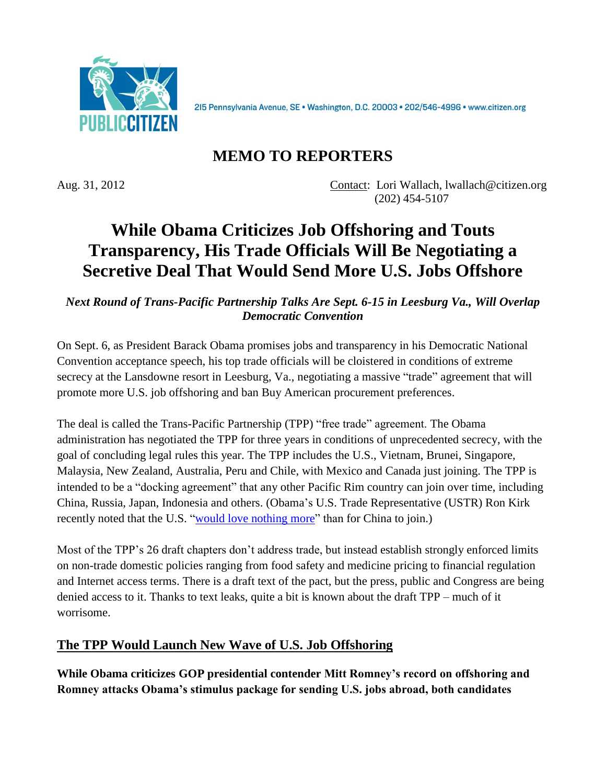

215 Pennsylvania Avenue, SE · Washington, D.C. 20003 · 202/546-4996 · www.citizen.org

## **MEMO TO REPORTERS**

Aug. 31, 2012 Contact: Lori Wallach, lwallach@citizen.org (202) 454-5107

# **While Obama Criticizes Job Offshoring and Touts Transparency, His Trade Officials Will Be Negotiating a Secretive Deal That Would Send More U.S. Jobs Offshore**

*Next Round of Trans-Pacific Partnership Talks Are Sept. 6-15 in Leesburg Va., Will Overlap Democratic Convention*

On Sept. 6, as President Barack Obama promises jobs and transparency in his Democratic National Convention acceptance speech, his top trade officials will be cloistered in conditions of extreme secrecy at the Lansdowne resort in Leesburg, Va., negotiating a massive "trade" agreement that will promote more U.S. job offshoring and ban Buy American procurement preferences.

The deal is called the Trans-Pacific Partnership (TPP) "free trade" agreement. The Obama administration has negotiated the TPP for three years in conditions of unprecedented secrecy, with the goal of concluding legal rules this year. The TPP includes the U.S., Vietnam, Brunei, Singapore, Malaysia, New Zealand, Australia, Peru and Chile, with Mexico and Canada just joining. The TPP is intended to be a "docking agreement" that any other Pacific Rim country can join over time, including China, Russia, Japan, Indonesia and others. (Obama's U.S. Trade Representative (USTR) Ron Kirk recently noted that the U.S. ["would love nothing more"](http://www.reuters.com/article/2012/05/08/usa-trade-kirk-idUSL1E8G8C3M20120508) than for China to join.)

Most of the TPP's 26 draft chapters don't address trade, but instead establish strongly enforced limits on non-trade domestic policies ranging from food safety and medicine pricing to financial regulation and Internet access terms. There is a draft text of the pact, but the press, public and Congress are being denied access to it. Thanks to text leaks, quite a bit is known about the draft TPP – much of it worrisome.

#### **The TPP Would Launch New Wave of U.S. Job Offshoring**

**While Obama criticizes GOP presidential contender Mitt Romney's record on offshoring and Romney attacks Obama's stimulus package for sending U.S. jobs abroad, both candidates**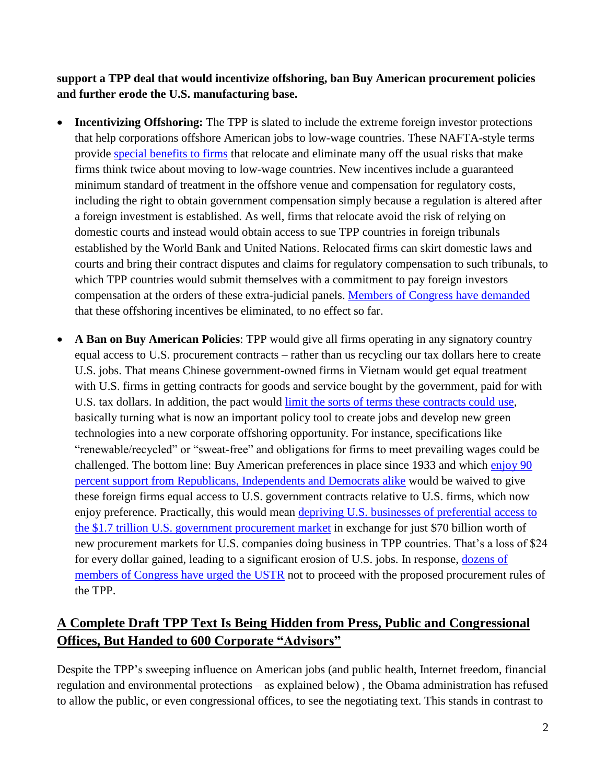**support a TPP deal that would incentivize offshoring, ban Buy American procurement policies and further erode the U.S. manufacturing base.**

- **Incentivizing Offshoring:** The TPP is slated to include the extreme foreign investor protections that help corporations offshore American jobs to low-wage countries. These NAFTA-style terms provide [special benefits](http://www.citizen.org/documents/Leaked-TPP-Investment-Analysis.pdf) to firms that relocate and eliminate many off the usual risks that make firms think twice about moving to low-wage countries. New incentives include a guaranteed minimum standard of treatment in the offshore venue and compensation for regulatory costs, including the right to obtain government compensation simply because a regulation is altered after a foreign investment is established. As well, firms that relocate avoid the risk of relying on domestic courts and instead would obtain access to sue TPP countries in foreign tribunals established by the World Bank and United Nations. Relocated firms can skirt domestic laws and courts and bring their contract disputes and claims for regulatory compensation to such tribunals, to which TPP countries would submit themselves with a commitment to pay foreign investors compensation at the orders of these extra-judicial panels. Members [of Congress have demanded](http://delauro.house.gov/index.php?option=com_content&view=article&id=997:delauro-miller-push-for-more-transparency-congressional-consultation-in-trade-negotiations&catid=2:2012-press-releases&Itemid=21) that these offshoring incentives be eliminated, to no effect so far.
- **A Ban on Buy American Policies**: TPP would give all firms operating in any signatory country equal access to U.S. procurement contracts – rather than us recycling our tax dollars here to create U.S. jobs. That means Chinese government-owned firms in Vietnam would get equal treatment with U.S. firms in getting contracts for goods and service bought by the government, paid for with U.S. tax dollars. In addition, the pact would [limit the sorts of terms these contracts could use,](http://www.huffingtonpost.com/2012/05/03/obama-trade-congress-buy-american_n_1475277.html) basically turning what is now an important policy tool to create jobs and develop new green technologies into a new corporate offshoring opportunity. For instance, specifications like "renewable/recycled" or "sweat-free" and obligations for firms to meet prevailing wages could be challenged. The bottom line: Buy American preferences in place since 1933 and which [enjoy 90](http://abcnews.go.com/blogs/politics/2012/07/made-in-america-policies-hugely-popular-survey-shows/) percent [support from Republicans, Independents and Democrats alike](http://abcnews.go.com/blogs/politics/2012/07/made-in-america-policies-hugely-popular-survey-shows/) would be waived to give these foreign firms equal access to U.S. government contracts relative to U.S. firms, which now enjoy preference. Practically, this would mean depriving U.S. [businesses of preferential access to](http://www.citizen.org/documents/TPP-Buy-American.pdf)  the \$1.7 trillion U.S. [government procurement market](http://www.citizen.org/documents/TPP-Buy-American.pdf) in exchange for just \$70 billion worth of new procurement markets for U.S. companies doing business in TPP countries. That's a loss of \$24 for every dollar gained, leading to a significant erosion of U.S. jobs. In response, [dozens of](http://donnaedwards.house.gov/uploads/Buy%20American%20TPP%20Ltr%20to%20Admin.pdf)  [members of Congress have urged the USTR](http://donnaedwards.house.gov/uploads/Buy%20American%20TPP%20Ltr%20to%20Admin.pdf) not to proceed with the proposed procurement rules of the TPP.

## **A Complete Draft TPP Text Is Being Hidden from Press, Public and Congressional Offices, But Handed to 600 Corporate "Advisors"**

Despite the TPP's sweeping influence on American jobs (and public health, Internet freedom, financial regulation and environmental protections – as explained below) , the Obama administration has refused to allow the public, or even congressional offices, to see the negotiating text. This stands in contrast to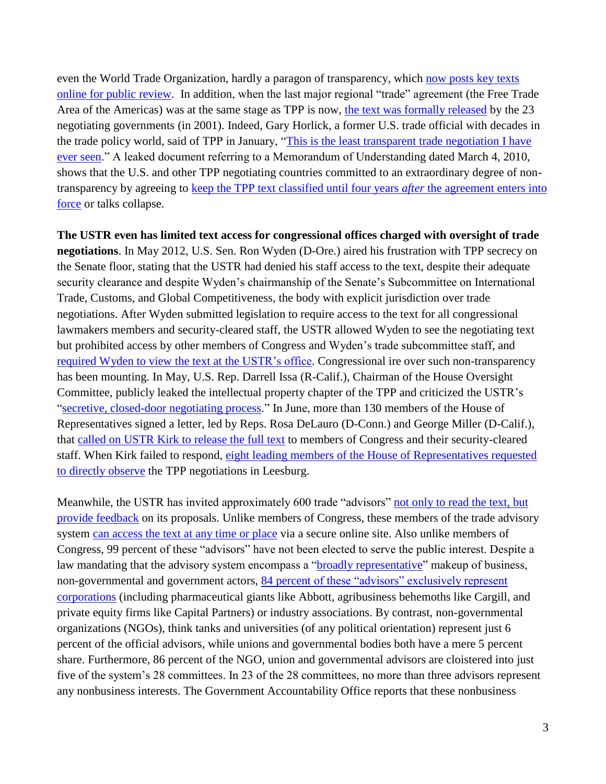even the World Trade Organization, hardly a paragon of transparency, which [now posts key texts](http://www.wto.org/english/tratop_e/dda_e/meet08_texts_e.htm)  [online for public review.](http://www.wto.org/english/tratop_e/dda_e/meet08_texts_e.htm) In addition, when the last major regional "trade" agreement (the Free Trade Area of the Americas) was at the same stage as TPP is now, [the text was formally released](http://www.ustr.gov/archive/Document_Library/Press_Releases/2001/July/USTR_Zoellick_Says_Publication_of_Free_Trade_Area_of_Americas_(FTAA)_Text_Will_Help_Explain_Trade_Benefits.html) by the 23 negotiating governments (in 2001). Indeed, Gary Horlick, a former U.S. trade official with decades in the trade policy world, said of TPP in January, ["This is the least transparent trade negotiation I have](http://www.openthegovernment.org/sites/default/files/Transparency%20Trade%20Letter-Final.pdf)  [ever seen.](http://www.openthegovernment.org/sites/default/files/Transparency%20Trade%20Letter-Final.pdf)" A leaked document referring to a Memorandum of Understanding dated March 4, 2010, shows that the U.S. and other TPP negotiating countries committed to an extraordinary degree of nontransparency by agreeing to [keep the TPP text classified until four years](http://keepthewebopen.com/assets/pdfs/TPP%20IP%20Chapter%20Proposal.pdf) *after* the agreement enters into [force](http://keepthewebopen.com/assets/pdfs/TPP%20IP%20Chapter%20Proposal.pdf) or talks collapse.

**The USTR even has limited text access for congressional offices charged with oversight of trade negotiations**. In May 2012, U.S. Sen. Ron Wyden (D-Ore.) aired his frustration with TPP secrecy on the Senate floor, stating that the USTR had denied his staff access to the text, despite their adequate security clearance and despite Wyden's chairmanship of the Senate's Subcommittee on International Trade, Customs, and Global Competitiveness, the body with explicit jurisdiction over trade negotiations. After Wyden submitted legislation to require access to the text for all congressional lawmakers members and security-cleared staff, the USTR allowed Wyden to see the negotiating text but prohibited access by other members of Congress and Wyden's trade subcommittee staff, and [required Wyden to view the text at](http://www.huffingtonpost.com/2012/06/07/obama-trade-deal-democrat_n_1578827.html) the USTR's office. Congressional ire over such non-transparency has been mounting. In May, U.S. Rep. Darrell Issa (R-Calif.), Chairman of the House Oversight Committee, publicly leaked the intellectual property chapter of the TPP and criticized the USTR's ["secretive, closed-door negotiating process.](http://issa.house.gov/index.php?option=com_content&view=article&id=976:issa-releases-the-trans-pacific-partnership-intellectual-property-rights-chapter-on-keepthewebopencom&catid=63:2011-press-releases)" In June, more than 130 members of the House of Representatives signed a letter, led by Reps. Rosa DeLauro (D-Conn.) and George Miller (D-Calif.), that [called on USTR Kirk to release the full text](http://delauro.house.gov/index.php?option=com_content&view=article&id=997:delauro-miller-push-for-more-transparency-congressional-consultation-in-trade-negotiations&catid=2:2012-press-releases&Itemid=21) to members of Congress and their security-cleared staff. When Kirk failed to respond, [eight leading members of the House of Representatives requested](http://professional.wsj.com/article/TPCONGDP0020120829e88s0000f.html)  [to directly observe](http://professional.wsj.com/article/TPCONGDP0020120829e88s0000f.html) the TPP negotiations in Leesburg.

Meanwhile, the USTR has invited approximately 600 trade "advisors" [not only to read the text, but](http://www.ustr.gov/about-us/press-office/fact-sheets/2012/june/transparency-and-the-tpp)  [provide feedback](http://www.ustr.gov/about-us/press-office/fact-sheets/2012/june/transparency-and-the-tpp) on its proposals. Unlike members of Congress, these members of the trade advisory system [can access the text at any time or place](http://www.gao.gov/assets/130/123085.pdf) via a secure online site. Also unlike members of Congress, 99 percent of these "advisors" have not been elected to serve the public interest. Despite a law mandating that the advisory system encompass a ["broadly representative"](http://www.law.cornell.edu/uscode/text/19/2155) makeup of business, non-governmental and government actors, 84 percent of these "advisors" exclusively represent [corporations](http://www.ustr.gov/about-us/intergovernmental-affairs/advisory-committees) (including pharmaceutical giants like Abbott, agribusiness behemoths like Cargill, and private equity firms like Capital Partners) or industry associations. By contrast, non-governmental organizations (NGOs), think tanks and universities (of any political orientation) represent just 6 percent of the official advisors, while unions and governmental bodies both have a mere 5 percent share. Furthermore, 86 percent of the NGO, union and governmental advisors are cloistered into just five of the system's 28 committees. In 23 of the 28 committees, no more than three advisors represent any nonbusiness interests. The Government Accountability Office reports that these nonbusiness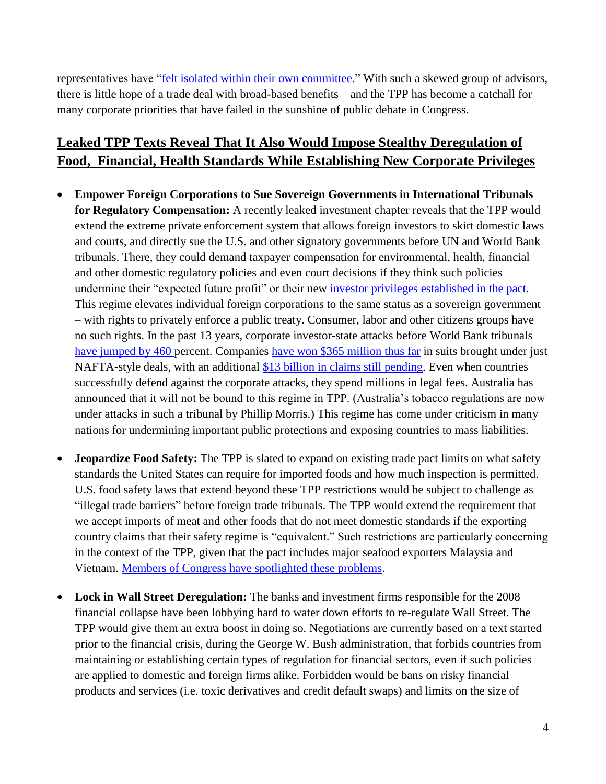representatives have "**felt** isolated within their own committee." With such a skewed group of advisors, there is little hope of a trade deal with broad-based benefits – and the TPP has become a catchall for many corporate priorities that have failed in the sunshine of public debate in Congress.

## **Leaked TPP Texts Reveal That It Also Would Impose Stealthy Deregulation of Food, Financial, Health Standards While Establishing New Corporate Privileges**

- **Empower Foreign Corporations to Sue Sovereign Governments in International Tribunals for Regulatory Compensation:** A recently leaked investment chapter reveals that the TPP would extend the extreme private enforcement system that allows foreign investors to skirt domestic laws and courts, and directly sue the U.S. and other signatory governments before UN and World Bank tribunals. There, they could demand taxpayer compensation for environmental, health, financial and other domestic regulatory policies and even court decisions if they think such policies undermine their "expected future profit" or their new [investor privileges established in the pact.](http://www.citizen.org/documents/tpp-investment-fixes.pdf) This regime elevates individual foreign corporations to the same status as a sovereign government – with rights to privately enforce a public treaty. Consumer, labor and other citizens groups have no such rights. In the past 13 years, corporate investor-state attacks before World Bank tribunals [have jumped by 460](http://www.citizen.org/documents/Leaked-TPP-Investment-Analysis.pdf) percent. Companies [have won \\$365 million thus far](http://www.citizen.org/documents/investor-state-chart.pdf) in suits brought under just NAFTA-style deals, with an additional [\\$13 billion in claims still pending.](http://www.citizen.org/documents/Leaked-TPP-Investment-Analysis.pdf) Even when countries successfully defend against the corporate attacks, they spend millions in legal fees. Australia has announced that it will not be bound to this regime in TPP. (Australia's tobacco regulations are now under attacks in such a tribunal by Phillip Morris.) This regime has come under criticism in many nations for undermining important public protections and exposing countries to mass liabilities.
- **Jeopardize Food Safety:** The TPP is slated to expand on existing trade pact limits on what safety standards the United States can require for imported foods and how much inspection is permitted. U.S. food safety laws that extend beyond these TPP restrictions would be subject to challenge as "illegal trade barriers" before foreign trade tribunals. The TPP would extend the requirement that we accept imports of meat and other foods that do not meet domestic standards if the exporting country claims that their safety regime is "equivalent." Such restrictions are particularly concerning in the context of the TPP, given that the pact includes major seafood exporters Malaysia and Vietnam. [Members of Congress have spotlighted these problems.](http://delauro.house.gov/index.php?option=com_content&view=article&id=406:-delauro-food-safety-critical-issue-in-upcoming-trade-talks&catid=7:2011-press-releases&Itemid=23)
- **Lock in Wall Street Deregulation:** The banks and investment firms responsible for the 2008 financial collapse have been lobbying hard to water down efforts to re-regulate Wall Street. The TPP would give them an extra boost in doing so. Negotiations are currently based on a text started prior to the financial crisis, during the George W. Bush administration, that forbids countries from maintaining or establishing certain types of regulation for financial sectors, even if such policies are applied to domestic and foreign firms alike. Forbidden would be bans on risky financial products and services (i.e. toxic derivatives and credit default swaps) and limits on the size of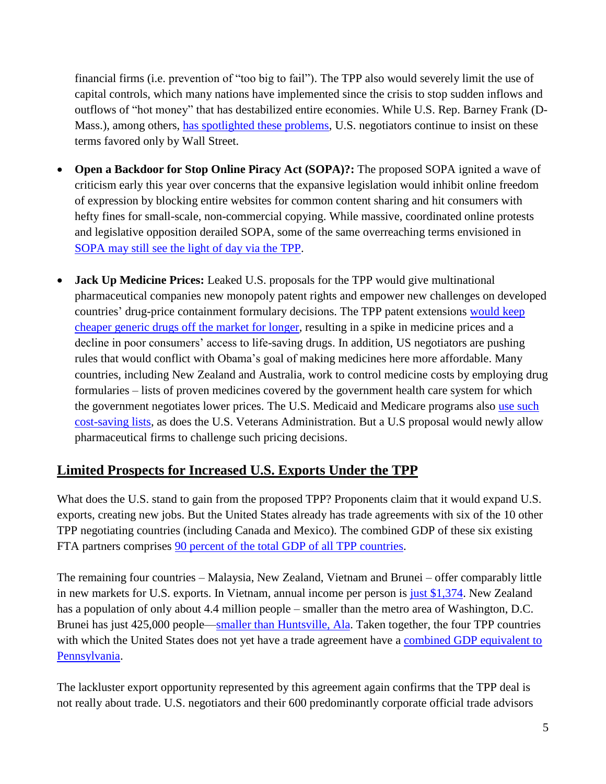financial firms (i.e. prevention of "too big to fail"). The TPP also would severely limit the use of capital controls, which many nations have implemented since the crisis to stop sudden inflows and outflows of "hot money" that has destabilized entire economies. While U.S. Rep. Barney Frank (DMass.), among others, has [spotlighted these problems,](http://democrats.financialservices.house.gov/FinancialSvcsDemMedia/file/press/112/Frank_%20Levin%20letter%20to%20Geithner%20RE%20capital%20controls_%20May%2023_%2020120003.pdf) U.S. negotiators continue to insist on these terms favored only by Wall Street.

- **Open a Backdoor for Stop Online Piracy Act (SOPA)?:** The proposed SOPA ignited a wave of criticism early this year over concerns that the expansive legislation would inhibit online freedom of expression by blocking entire websites for common content sharing and hit consumers with hefty fines for small-scale, non-commercial copying. While massive, coordinated online protests and legislative opposition derailed SOPA, some of the same overreaching terms envisioned in [SOPA may still see the light of day via the TPP.](http://tppinfo.org/)
- **Jack Up Medicine Prices:** Leaked U.S. proposals for the TPP would give multinational pharmaceutical companies new monopoly patent rights and empower new challenges on developed countries' drug-price containment formulary decisions. The TPP patent extensions [would keep](http://www.citizen.org/documents/TPPonepage.pdf)  [cheaper generic drugs off the market for longer,](http://www.citizen.org/documents/TPPonepage.pdf) resulting in a spike in medicine prices and a decline in poor consumers' access to life-saving drugs. In addition, US negotiators are pushing rules that would conflict with Obama's goal of making medicines here more affordable. Many countries, including New Zealand and Australia, work to control medicine costs by employing drug formularies – lists of proven medicines covered by the government health care system for which the government negotiates lower prices. The U.S. Medicaid and Medicare programs also use such [cost-saving](http://www.citizen.org/documents/memo-tpp-drug-price-06-14-12.pdf) lists, as does the U.S. Veterans Administration. But a U.S proposal would newly allow pharmaceutical firms to challenge such pricing decisions.

### **Limited Prospects for Increased U.S. Exports Under the TPP**

What does the U.S. stand to gain from the proposed TPP? Proponents claim that it would expand U.S. exports, creating new jobs. But the United States already has trade agreements with six of the 10 other TPP negotiating countries (including Canada and Mexico). The combined GDP of these six existing FTA partners comprises 90 percent [of the total GDP of all TPP countries.](http://www.imf.org/external/pubs/ft/weo/2012/01/weodata/index.aspx)

The remaining four countries – Malaysia, New Zealand, Vietnam and Brunei – offer comparably little in new markets for U.S. exports. In Vietnam, annual income per person is [just \\$1,374.](http://www.imf.org/external/pubs/ft/weo/2012/01/weodata/index.aspx) New Zealand has a population of only about 4.4 million people – smaller than the metro area of Washington, D.C. Brunei has just 425,000 people—smaller [than Huntsville, Ala.](http://www.census.gov/popest/data/metro/totals/2011/) Taken together, the four TPP countries with which the United States does not yet have a trade agreement have a combined GDP equivalent to [Pennsylvania.](http://www.bea.gov/iTable/iTable.cfm?ReqID=70&step=1&isuri=1&acrdn=1)

The lackluster export opportunity represented by this agreement again confirms that the TPP deal is not really about trade. U.S. negotiators and their 600 predominantly corporate official trade advisors